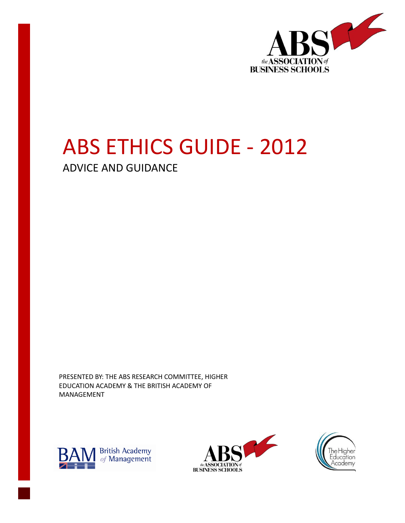

# ABS ETHICS GUIDE - 2012

ADVICE AND GUIDANCE

PRESENTED BY: THE ABS RESEARCH COMMITTEE, HIGHER EDUCATION ACADEMY & THE BRITISH ACADEMY OF MANAGEMENT





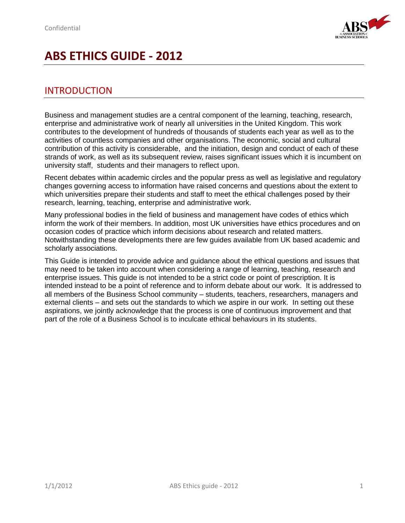

## **ABS ETHICS GUIDE - 2012**

## INTRODUCTION

Business and management studies are a central component of the learning, teaching, research, enterprise and administrative work of nearly all universities in the United Kingdom. This work contributes to the development of hundreds of thousands of students each year as well as to the activities of countless companies and other organisations. The economic, social and cultural contribution of this activity is considerable, and the initiation, design and conduct of each of these strands of work, as well as its subsequent review, raises significant issues which it is incumbent on university staff, students and their managers to reflect upon.

Recent debates within academic circles and the popular press as well as legislative and regulatory changes governing access to information have raised concerns and questions about the extent to which universities prepare their students and staff to meet the ethical challenges posed by their research, learning, teaching, enterprise and administrative work.

Many professional bodies in the field of business and management have codes of ethics which inform the work of their members. In addition, most UK universities have ethics procedures and on occasion codes of practice which inform decisions about research and related matters. Notwithstanding these developments there are few guides available from UK based academic and scholarly associations.

This Guide is intended to provide advice and guidance about the ethical questions and issues that may need to be taken into account when considering a range of learning, teaching, research and enterprise issues. This guide is not intended to be a strict code or point of prescription. It is intended instead to be a point of reference and to inform debate about our work. It is addressed to all members of the Business School community – students, teachers, researchers, managers and external clients – and sets out the standards to which we aspire in our work. In setting out these aspirations, we jointly acknowledge that the process is one of continuous improvement and that part of the role of a Business School is to inculcate ethical behaviours in its students.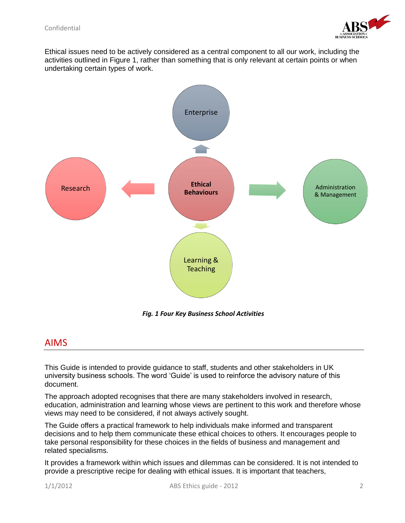

Ethical issues need to be actively considered as a central component to all our work, including the activities outlined in Figure 1, rather than something that is only relevant at certain points or when undertaking certain types of work.



*Fig. 1 Four Key Business School Activities*

### AIMS

This Guide is intended to provide guidance to staff, students and other stakeholders in UK university business schools. The word 'Guide' is used to reinforce the advisory nature of this document.

The approach adopted recognises that there are many stakeholders involved in research, education, administration and learning whose views are pertinent to this work and therefore whose views may need to be considered, if not always actively sought.

The Guide offers a practical framework to help individuals make informed and transparent decisions and to help them communicate these ethical choices to others. It encourages people to take personal responsibility for these choices in the fields of business and management and related specialisms.

It provides a framework within which issues and dilemmas can be considered. It is not intended to provide a prescriptive recipe for dealing with ethical issues. It is important that teachers,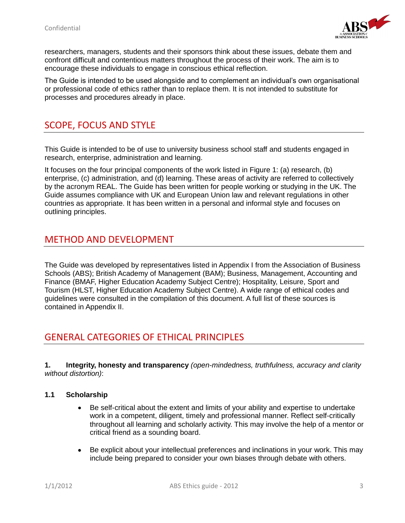

researchers, managers, students and their sponsors think about these issues, debate them and confront difficult and contentious matters throughout the process of their work. The aim is to encourage these individuals to engage in conscious ethical reflection.

The Guide is intended to be used alongside and to complement an individual's own organisational or professional code of ethics rather than to replace them. It is not intended to substitute for processes and procedures already in place.

## SCOPE, FOCUS AND STYLE

This Guide is intended to be of use to university business school staff and students engaged in research, enterprise, administration and learning.

It focuses on the four principal components of the work listed in Figure 1: (a) research, (b) enterprise, (c) administration, and (d) learning. These areas of activity are referred to collectively by the acronym REAL. The Guide has been written for people working or studying in the UK. The Guide assumes compliance with UK and European Union law and relevant regulations in other countries as appropriate. It has been written in a personal and informal style and focuses on outlining principles.

## METHOD AND DEVELOPMENT

The Guide was developed by representatives listed in Appendix I from the Association of Business Schools (ABS); British Academy of Management (BAM); Business, Management, Accounting and Finance (BMAF, Higher Education Academy Subject Centre); Hospitality, Leisure, Sport and Tourism (HLST, Higher Education Academy Subject Centre). A wide range of ethical codes and guidelines were consulted in the compilation of this document. A full list of these sources is contained in Appendix II.

## GENERAL CATEGORIES OF ETHICAL PRINCIPLES

**1. Integrity, honesty and transparency** *(open-mindedness, truthfulness, accuracy and clarity without distortion)*:

#### **1.1 Scholarship**

- Be self-critical about the extent and limits of your ability and expertise to undertake  $\bullet$ work in a competent, diligent, timely and professional manner. Reflect self-critically throughout all learning and scholarly activity. This may involve the help of a mentor or critical friend as a sounding board.
- Be explicit about your intellectual preferences and inclinations in your work. This may  $\bullet$ include being prepared to consider your own biases through debate with others.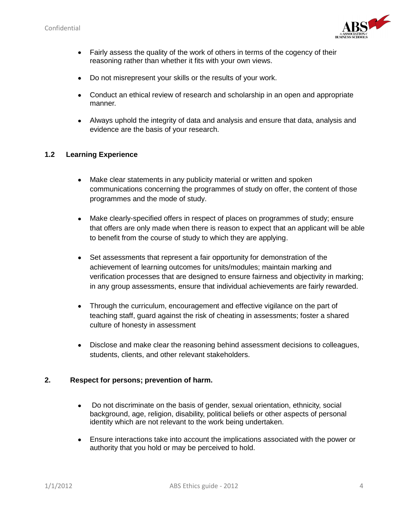

- Fairly assess the quality of the work of others in terms of the cogency of their  $\bullet$ reasoning rather than whether it fits with your own views.
- Do not misrepresent your skills or the results of your work.  $\bullet$
- Conduct an ethical review of research and scholarship in an open and appropriate  $\bullet$ manner.
- Always uphold the integrity of data and analysis and ensure that data, analysis and evidence are the basis of your research.

#### **1.2 Learning Experience**

- $\bullet$ Make clear statements in any publicity material or written and spoken communications concerning the programmes of study on offer, the content of those programmes and the mode of study.
- Make clearly-specified offers in respect of places on programmes of study; ensure  $\bullet$ that offers are only made when there is reason to expect that an applicant will be able to benefit from the course of study to which they are applying.
- Set assessments that represent a fair opportunity for demonstration of the achievement of learning outcomes for units/modules; maintain marking and verification processes that are designed to ensure fairness and objectivity in marking; in any group assessments, ensure that individual achievements are fairly rewarded.
- Through the curriculum, encouragement and effective vigilance on the part of  $\bullet$ teaching staff, guard against the risk of cheating in assessments; foster a shared culture of honesty in assessment
- Disclose and make clear the reasoning behind assessment decisions to colleagues,  $\bullet$ students, clients, and other relevant stakeholders.

#### **2. Respect for persons; prevention of harm.**

- Do not discriminate on the basis of gender, sexual orientation, ethnicity, social  $\bullet$ background, age, religion, disability, political beliefs or other aspects of personal identity which are not relevant to the work being undertaken.
- Ensure interactions take into account the implications associated with the power or  $\bullet$ authority that you hold or may be perceived to hold.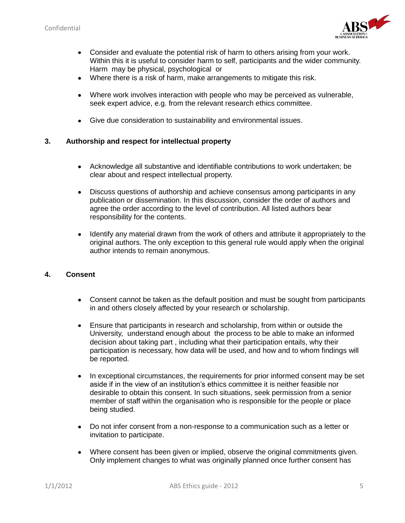

- Consider and evaluate the potential risk of harm to others arising from your work.  $\bullet$ Within this it is useful to consider harm to self, participants and the wider community. Harm may be physical, psychological or
- Where there is a risk of harm, make arrangements to mitigate this risk.  $\bullet$
- Where work involves interaction with people who may be perceived as vulnerable, seek expert advice, e.g. from the relevant research ethics committee.
- Give due consideration to sustainability and environmental issues.

#### **3. Authorship and respect for intellectual property**

- Acknowledge all substantive and identifiable contributions to work undertaken; be clear about and respect intellectual property.
- Discuss questions of authorship and achieve consensus among participants in any  $\bullet$ publication or dissemination. In this discussion, consider the order of authors and agree the order according to the level of contribution. All listed authors bear responsibility for the contents.
- Identify any material drawn from the work of others and attribute it appropriately to the  $\bullet$ original authors. The only exception to this general rule would apply when the original author intends to remain anonymous.

#### **4. Consent**

- Consent cannot be taken as the default position and must be sought from participants  $\bullet$ in and others closely affected by your research or scholarship.
- $\bullet$ Ensure that participants in research and scholarship, from within or outside the University, understand enough about the process to be able to make an informed decision about taking part , including what their participation entails, why their participation is necessary, how data will be used, and how and to whom findings will be reported.
- In exceptional circumstances, the requirements for prior informed consent may be set  $\bullet$ aside if in the view of an institution's ethics committee it is neither feasible nor desirable to obtain this consent. In such situations, seek permission from a senior member of staff within the organisation who is responsible for the people or place being studied.
- Do not infer consent from a non-response to a communication such as a letter or  $\bullet$ invitation to participate.
- Where consent has been given or implied, observe the original commitments given.  $\bullet$ Only implement changes to what was originally planned once further consent has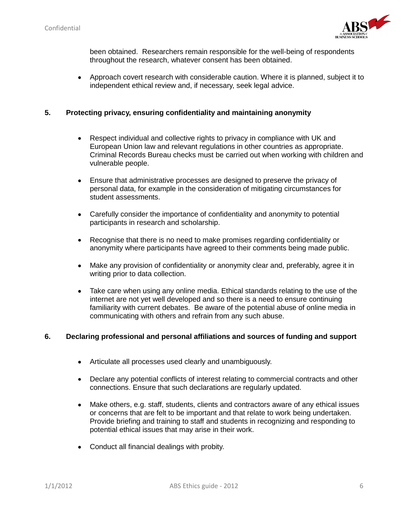

been obtained. Researchers remain responsible for the well-being of respondents throughout the research, whatever consent has been obtained.

Approach covert research with considerable caution. Where it is planned, subject it to  $\bullet$ independent ethical review and, if necessary, seek legal advice.

#### **5. Protecting privacy, ensuring confidentiality and maintaining anonymity**

- Respect individual and collective rights to privacy in compliance with UK and  $\bullet$ European Union law and relevant regulations in other countries as appropriate. Criminal Records Bureau checks must be carried out when working with children and vulnerable people.
- Ensure that administrative processes are designed to preserve the privacy of  $\bullet$ personal data, for example in the consideration of mitigating circumstances for student assessments.
- Carefully consider the importance of confidentiality and anonymity to potential  $\bullet$ participants in research and scholarship.
- Recognise that there is no need to make promises regarding confidentiality or  $\bullet$ anonymity where participants have agreed to their comments being made public.
- Make any provision of confidentiality or anonymity clear and, preferably, agree it in  $\bullet$ writing prior to data collection.
- Take care when using any online media. Ethical standards relating to the use of the  $\bullet$ internet are not yet well developed and so there is a need to ensure continuing familiarity with current debates. Be aware of the potential abuse of online media in communicating with others and refrain from any such abuse.

#### **6. Declaring professional and personal affiliations and sources of funding and support**

- Articulate all processes used clearly and unambiguously.
- Declare any potential conflicts of interest relating to commercial contracts and other  $\bullet$ connections. Ensure that such declarations are regularly updated.
- Make others, e.g. staff, students, clients and contractors aware of any ethical issues  $\bullet$ or concerns that are felt to be important and that relate to work being undertaken. Provide briefing and training to staff and students in recognizing and responding to potential ethical issues that may arise in their work.
- Conduct all financial dealings with probity.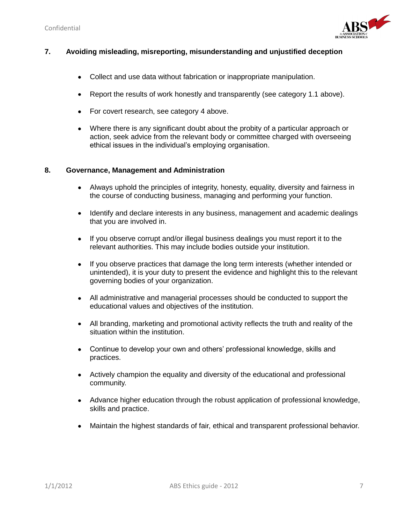

#### **7. Avoiding misleading, misreporting, misunderstanding and unjustified deception**

- Collect and use data without fabrication or inappropriate manipulation.  $\bullet$
- Report the results of work honestly and transparently (see category 1.1 above).  $\bullet$
- For covert research, see category 4 above.
- Where there is any significant doubt about the probity of a particular approach or action, seek advice from the relevant body or committee charged with overseeing ethical issues in the individual's employing organisation.

#### **8. Governance, Management and Administration**

- Always uphold the principles of integrity, honesty, equality, diversity and fairness in  $\bullet$ the course of conducting business, managing and performing your function.
- Identify and declare interests in any business, management and academic dealings  $\bullet$ that you are involved in.
- If you observe corrupt and/or illegal business dealings you must report it to the  $\bullet$ relevant authorities. This may include bodies outside your institution.
- If you observe practices that damage the long term interests (whether intended or  $\bullet$ unintended), it is your duty to present the evidence and highlight this to the relevant governing bodies of your organization.
- All administrative and managerial processes should be conducted to support the  $\bullet$ educational values and objectives of the institution.
- All branding, marketing and promotional activity reflects the truth and reality of the  $\bullet$ situation within the institution.
- Continue to develop your own and others' professional knowledge, skills and  $\bullet$ practices.
- Actively champion the equality and diversity of the educational and professional  $\bullet$  . community.
- Advance higher education through the robust application of professional knowledge, skills and practice.
- Maintain the highest standards of fair, ethical and transparent professional behavior. $\bullet$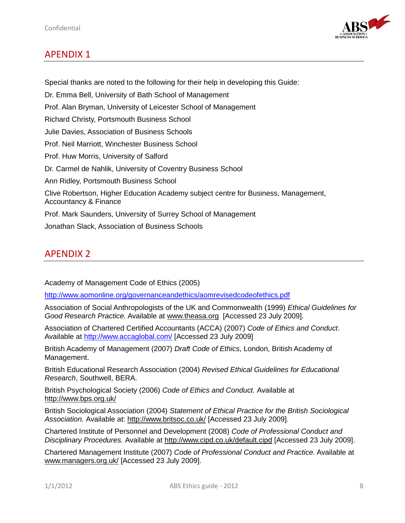

## APENDIX 1

Special thanks are noted to the following for their help in developing this Guide: Dr. Emma Bell, University of Bath School of Management Prof. Alan Bryman, University of Leicester School of Management Richard Christy, Portsmouth Business School Julie Davies, Association of Business Schools Prof. Neil Marriott, Winchester Business School Prof. Huw Morris, University of Salford Dr. Carmel de Nahlik, University of Coventry Business School Ann Ridley, Portsmouth Business School Clive Robertson, Higher Education Academy subject centre for Business, Management, Accountancy & Finance Prof. Mark Saunders, University of Surrey School of Management Jonathan Slack, Association of Business Schools

## APENDIX 2

Academy of Management Code of Ethics (2005)

<http://www.aomonline.org/governanceandethics/aomrevisedcodeofethics.pdf>

Association of Social Anthropologists of the UK and Commonwealth (1999) *Ethical Guidelines for Good Research Practice.* Available at [www.theasa.org](http://www.theasa.org/) [Accessed 23 July 2009].

Association of Chartered Certified Accountants (ACCA) (2007) *Code of Ethics and Conduct*. Available at<http://www.accaglobal.com/> [Accessed 23 July 2009]

British Academy of Management (2007) *Draft Code of Ethics*, London, British Academy of Management.

British Educational Research Association (2004) *Revised Ethical Guidelines for Educational Research*, Southwell, BERA.

British Psychological Society (2006) *Code of Ethics and Conduct.* Available at <http://www.bps.org.uk/>

British Sociological Association (2004) *Statement of Ethical Practice for the British Sociological Association.* Available at:<http://www.britsoc.co.uk/> [Accessed 23 July 2009].

Chartered Institute of Personnel and Development (2008) *Code of Professional Conduct and Disciplinary Procedures.* Available at<http://www.cipd.co.uk/default.cipd> [Accessed 23 July 2009].

Chartered Management Institute (2007) *Code of Professional Conduct and Practice.* Available at [www.managers.org.uk/](http://www.managers.org.uk/) [Accessed 23 July 2009].